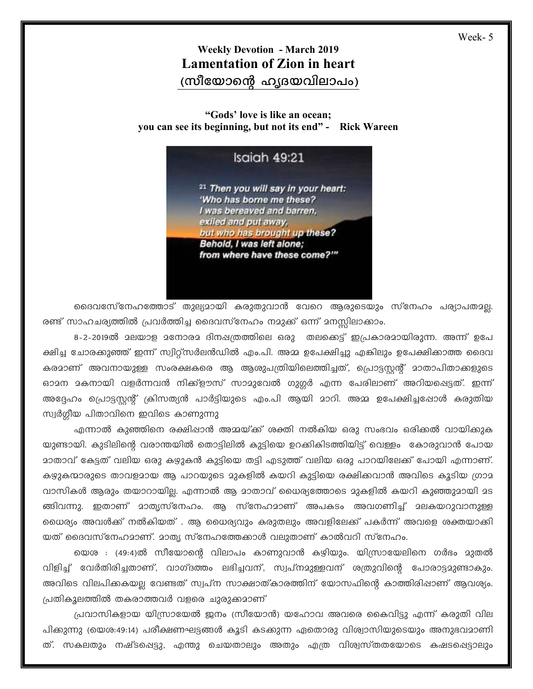## **Weekly Devotion - March 2019 Lamentation of Zion in heart** (സീയോന്റെ ഹൃദയവിലാപം)

## "Gods' love is like an ocean; you can see its beginning, but not its end" - Rick Wareen

## Isaiah 49:21

<sup>21</sup> Then you will say in your heart: 'Who has borne me these? I was bereaved and barren. exiled and put away. but who has brought up these? Behold, I was left alone; from where have these come?""

ദൈവസേ്നേഹത്തോട് തുല്യമായി കരുതുവാൻ വേറെ ആരുടെയും സ്നേഹം പര്യാപതമല്ല. രണ്ട് സാഹചര്യത്തിൽ പ്രവർത്തിച്ച ദൈവസ്നേഹം നമുക്ക് ഒന്ന് മനസ്സിലാക്കാം.

ക്ഷിച്ച ചോരക്കുഞ്ഞ് ഇന്ന് സ്വിറ്റ്സർലൻഡിൽ എം.പി. അമ്മ ഉപേക്ഷിച്ചു എങ്കിലും ഉപേക്ഷിക്കാത്ത ദൈവ കരമാണ് അവനായുള്ള സംരക്ഷകരെ ആ ആശുപത്രിയിലെത്തിച്ചത്, പ്രൊട്ടസ്റ്റന്റ് മാതാപിതാക്കളുടെ ഓമന മകനായി വളർന്നവൻ നിക്ക്ളൗസ് സാമുവേൽ ഗുഗ്ഗർ എന്ന പേരിലാണ് അറിയപ്പെട്ടത്. ഇന്ന് അദ്ദേഹം പ്രൊട്ടസ്റ്റന്റ് ക്രിസത്യൻ പാർട്ടിയുടെ എം.പി ആയി മാറി. അമ്മ ഉപേക്ഷിച്ചപ്പോൾ കരുതിയ സ്വർഗ്ഗീയ പിതാവിനെ ഇവിടെ കാണുന്നു

എന്നാൽ കുഞ്ഞിനെ രക്ഷിഷാൻ അമ്മയ്ക്ക് ശക്തി നൽകിയ ഒരു സംഭവം ഒരിക്കൽ വായിക്കുക യുണ്ടായി. കുടിലിന്റെ വരാന്തയിൽ തൊട്ടിലിൽ കുട്ടിയെ ഉറക്കികിടത്തിയിട്ട് വെള്ളം കോരുവാൻ പോയ മാതാവ് കേട്ടത് വലിയ ഒരു കഴുകൻ കുട്ടിയെ തട്ടി എടുത്ത് വലിയ ഒരു പാറയിലേക്ക് പോയി എന്നാണ്. കഴ്യുകന്മാരുടെ താവളമായ ആ പാറയുടെ മുകളിൽ കയറി കുട്ടിയെ രക്ഷിക്കവാൻ അവിടെ കൂടിയ ഗ്രാമ വാസികൾ ആരും തയാറായില്ല. എന്നാൽ ആ മാതാവ് ധൈര്യത്തോടെ മുകളിൽ കയറി കുഞ്ഞുമായി മട ങ്ങിവന്നു. ഇതാണ് മാതൃസ്നേഹം. ആ സ്നേഹമാണ് അപകടം അവഗണിച്ച് മലകയറുവാനുള്ള ധൈര്യം അവൾക്ക് നൽകിയത് . ആ ധൈര്യവും കരുതലും അവളിലേക്ക് പകർന്ന് അവളെ ശക്തയാക്കി യത് ദൈവസ്നേഹമാണ്. മാതൃ സ്നേഹത്തേക്കാൾ വലുതാണ് കാൽവറി സ്നേഹം.

യെശ : (49:4)ൽ സീയോന്റെ വിലാപം കാണുവാൻ കഴിയും. യിസ്രായേലിനെ ഗർഭം മുതൽ വിളിച്ച് വേർതിരിച്ചതാണ്, വാഗ്ദത്തം ലഭിച്ചവന്, സ്വപ്നമുള്ളവന് ശത്രുവിന്റെ പോരാട്ടമുണ്ടാകും. അവിടെ വിലപിക്കകയല്ല വേണ്ടത് സ്വപ്ന സാക്ഷാത്കാരത്തിന് യോസഫിന്റെ കാത്തിരിഷാണ് ആവശ്യം. പ്രതികുലത്തിൽ തകരാത്തവർ വളരെ ചുരുക്കമാണ്

പ്രവാസികളായ യിസ്രായേൽ ജനം (സീയോൻ) യഹോവ അവരെ കൈവിട്ടു എന്ന് കരുതി വില പിക്കുന്നു (യെശ:49:14) പരീക്ഷണഘട്ടങ്ങൾ കൂടി കടക്കുന്ന ഏതൊരു വിശ്വാസിയുടെയും അനുഭവമാണി ത്. സകലതും നഷ്ടപ്പെട്ടു, എന്തു ചെയതാലും അതും എത്ര വിശ്വസ്തതയോടെ കഷടപ്പെട്ടാലും